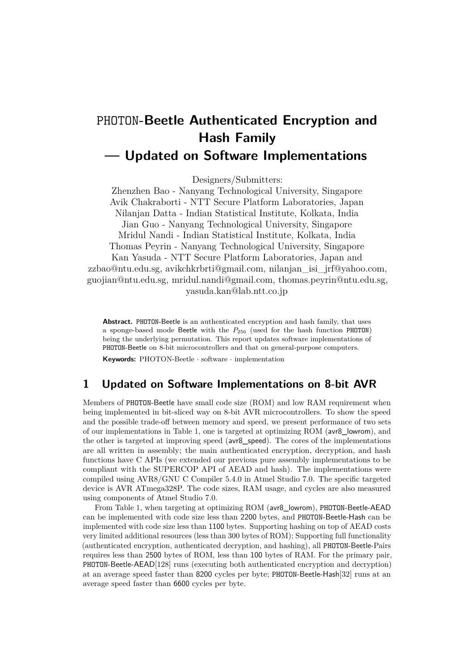## PHOTON**-Beetle Authenticated Encryption and Hash Family — Updated on Software Implementations**

Designers/Submitters:

Zhenzhen Bao - Nanyang Technological University, Singapore Avik Chakraborti - NTT Secure Platform Laboratories, Japan Nilanjan Datta - Indian Statistical Institute, Kolkata, India Jian Guo - Nanyang Technological University, Singapore Mridul Nandi - Indian Statistical Institute, Kolkata, India Thomas Peyrin - Nanyang Technological University, Singapore Kan Yasuda - NTT Secure Platform Laboratories, Japan and zzbao@ntu.edu.sg, [avikchkrbrti@gmail.com,](mailto:avikchkrbrti@gmail.com) [nilanjan\\_isi\\_jrf@yahoo.com,](mailto:nilanjan_isi_jrf@yahoo.com) guojian@ntu.edu.sg, [mridul.nandi@gmail.com,](mailto:mridul.nandi@gmail.com) thomas.peyrin@ntu.edu.sg, [yasuda.kan@lab.ntt.co.jp](mailto:yasuda.kan@lab.ntt.co.jp)

**Abstract.** PHOTON-Beetle is an authenticated encryption and hash family, that uses a sponge-based mode Beetle with the  $P_{256}$  (used for the hash function PHOTON) being the underlying permutation. This report updates software implementations of PHOTON-Beetle on 8-bit microcontrollers and that on general-purpose computers.

**Keywords:** PHOTON-Beetle · software · implementation

## **1 Updated on Software Implementations on 8-bit AVR**

Members of PHOTON-Beetle have small code size (ROM) and low RAM requirement when being implemented in bit-sliced way on 8-bit AVR microcontrollers. To show the speed and the possible trade-off between memory and speed, we present performance of two sets of our implementations in Table [1,](#page-1-0) one is targeted at optimizing ROM (avr8\_lowrom), and the other is targeted at improving speed (avr8 speed). The cores of the implementations are all written in assembly; the main authenticated encryption, decryption, and hash functions have C APIs (we extended our previous pure assembly implementations to be compliant with the SUPERCOP API of AEAD and hash). The implementations were compiled using AVR8/GNU C Compiler 5.4.0 in Atmel Studio 7.0. The specifc targeted device is AVR ATmega328P. The code sizes, RAM usage, and cycles are also measured using components of Atmel Studio 7.0.

From Table [1,](#page-1-0) when targeting at optimizing ROM (avr8\_lowrom), PHOTON-Beetle-AEAD can be implemented with code size less than 2200 bytes, and PHOTON-Beetle-Hash can be implemented with code size less than 1100 bytes. Supporting hashing on top of AEAD costs very limited additional resources (less than 300 bytes of ROM); Supporting full functionality (authenticated encryption, authenticated decryption, and hashing), all PHOTON-Beetle-Pairs requires less than 2500 bytes of ROM, less than 100 bytes of RAM. For the primary pair, PHOTON-Beetle-AEAD[128] runs (executing both authenticated encryption and decryption) at an average speed faster than 8200 cycles per byte; PHOTON-Beetle-Hash[32] runs at an average speed faster than 6600 cycles per byte.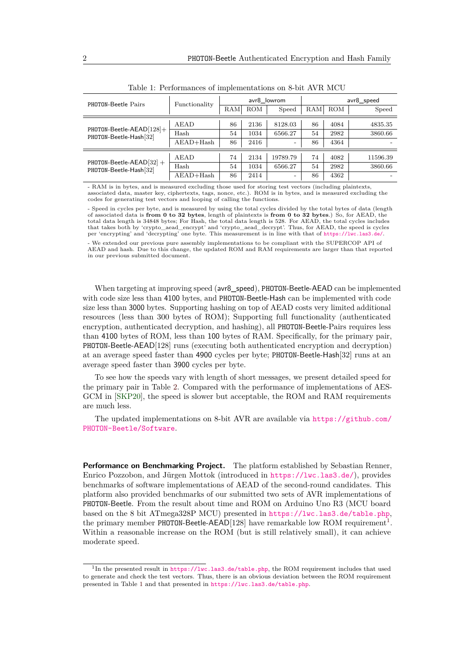<span id="page-1-0"></span>

| PHOTON-Beetle Pairs                                   | Functionality |     |            | avr8 lowrom              | avr8_speed |      |          |  |  |
|-------------------------------------------------------|---------------|-----|------------|--------------------------|------------|------|----------|--|--|
|                                                       |               | RAM | <b>ROM</b> | Speed                    | RAM        | ROM  | Speed    |  |  |
| PHOTON-Beetle-AEAD[128]+<br>PHOTON-Beetle-Hash[32]    | AEAD          | 86  | 2136       | 8128.03                  | 86         | 4084 | 4835.35  |  |  |
|                                                       | Hash          | 54  | 1034       | 6566.27                  | 54         | 2982 | 3860.66  |  |  |
|                                                       | $A EAD+Hash$  | 86  | 2416       | $\overline{\phantom{a}}$ | 86         | 4364 |          |  |  |
|                                                       |               |     |            |                          |            |      |          |  |  |
| PHOTON-Beetle-AEAD $[32]$ +<br>PHOTON-Beetle-Hash[32] | AEAD          | 74  | 2134       | 19789.79                 | 74         | 4082 | 11596.39 |  |  |
|                                                       | Hash          | 54  | 1034       | 6566.27                  | 54         | 2982 | 3860.66  |  |  |
|                                                       | $A$ EAD+Hash  | 86  | 2414       | $\overline{\phantom{a}}$ | 86         | 4362 |          |  |  |

Table 1: Performances of implementations on 8-bit AVR MCU

- RAM is in bytes, and is measured excluding those used for storing test vectors (including plaintexts, associated data, master key, ciphertexts, tags, nonce, etc.). ROM is in bytes, and is measured excluding the codes for generating test vectors and looping of calling the functions.

- Speed in cycles per byte, and is measured by using the total cycles divided by the total bytes of data (length of associated data is **from 0 to 32 bytes**, length of plaintexts is **from 0 to 32 bytes**.) So, for AEAD, the total data length is 34848 bytes; For Hash, the total data length is 528. For AEAD, the total cycles includes that takes both by 'crypto\_aead\_encrypt' and 'crypto\_aead\_decrypt'. Thus, for AEAD, the speed is cycles per 'encrypting' and 'decrypting' one byte. This measurement is in line with that of <https://lwc.las3.de/>.

- We extended our previous pure assembly implementations to be compliant with the SUPERCOP API of AEAD and hash. Due to this change, the updated ROM and RAM requirements are larger than that reported in our previous submitted document.

When targeting at improving speed ( $\text{avr8\_speed}$ ), PHOTON-Beetle-AEAD can be implemented with code size less than 4100 bytes, and PHOTON-Beetle-Hash can be implemented with code size less than 3000 bytes. Supporting hashing on top of AEAD costs very limited additional resources (less than 300 bytes of ROM); Supporting full functionality (authenticated encryption, authenticated decryption, and hashing), all PHOTON-Beetle-Pairs requires less than 4100 bytes of ROM, less than 100 bytes of RAM. Specifcally, for the primary pair, PHOTON-Beetle-AEAD[128] runs (executing both authenticated encryption and decryption) at an average speed faster than 4900 cycles per byte; PHOTON-Beetle-Hash[32] runs at an average speed faster than 3900 cycles per byte.

To see how the speeds vary with length of short messages, we present detailed speed for the primary pair in Table [2.](#page-2-0) Compared with the performance of implementations of AES-GCM in [\[SKP20\]](#page-2-1), the speed is slower but acceptable, the ROM and RAM requirements are much less.

The updated implementations on 8-bit AVR are available via [https://github.com/](https://github.com/PHOTON-Beetle/Software) [PHOTON-Beetle/Software](https://github.com/PHOTON-Beetle/Software).

**Performance on Benchmarking Project.** The platform established by Sebastian Renner, Enrico Pozzobon, and Jürgen Mottok (introduced in <https://lwc.las3.de/>), provides benchmarks of software implementations of AEAD of the second-round candidates. This platform also provided benchmarks of our submitted two sets of AVR implementations of PHOTON-Beetle. From the result about time and ROM on Arduino Uno R3 (MCU board based on the 8 bit ATmega328P MCU) presented in <https://lwc.las3.de/table.php>, the primary member PHOTON-Beetle-AEAD[[1](#page-1-1)28] have remarkable low ROM requirement<sup>1</sup>. Within a reasonable increase on the ROM (but is still relatively small), it can achieve moderate speed.

<span id="page-1-1"></span><sup>&</sup>lt;sup>1</sup>In the presented result in <https://lwc.las3.de/table.php>, the ROM requirement includes that used to generate and check the test vectors. Thus, there is an obvious deviation between the ROM requirement presented in Table [1](#page-1-0) and that presented in <https://lwc.las3.de/table.php>.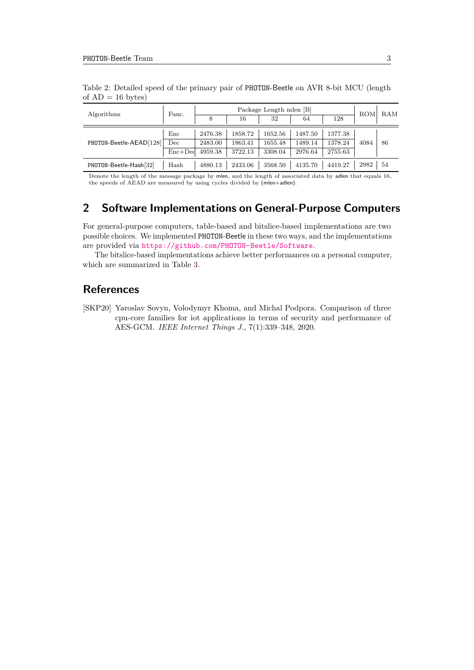| Algorithms              | Func.     |         | ROM     | RAM     |         |         |      |    |
|-------------------------|-----------|---------|---------|---------|---------|---------|------|----|
|                         |           | 8       | 16      | 32      | 64      | 128     |      |    |
| PHOTON-Beetle-AEAD[128] | Enc       | 2476.38 | 1858.72 | 1652.56 | 1487.50 | 1377.38 | 4084 | 86 |
|                         | Dec       | 2483.00 | 1863.41 | 1655.48 | 1489.14 | 1378.24 |      |    |
|                         | $Enc+Ded$ | 4959.38 | 3722.13 | 3308.04 | 2976.64 | 2755.63 |      |    |
| PHOTON-Beetle-Hash[32]  | Hash      | 4880.13 | 2433.06 | 3568.50 | 4135.70 | 4419.27 | 2982 | 54 |

<span id="page-2-0"></span>Table 2: Detailed speed of the primary pair of PHOTON-Beetle on AVR 8-bit MCU (length of  $AD = 16$  bytes)

Denote the length of the message package by mlen, and the length of associated data by adlen that equals 16, the speeds of AEAD are measured by using cycles divided by (mlen+adlen).

## **2 Software Implementations on General-Purpose Computers**

For general-purpose computers, table-based and bitslice-based implementations are two possible choices. We implemented PHOTON-Beetle in these two ways, and the implementations are provided via <https://github.com/PHOTON-Beetle/Software>.

The bitslice-based implementations achieve better performances on a personal computer, which are summarized in Table [3.](#page-3-0)

## **References**

<span id="page-2-1"></span>[SKP20] Yaroslav Sovyn, Volodymyr Khoma, and Michal Podpora. Comparison of three cpu-core families for iot applications in terms of security and performance of AES-GCM. *IEEE Internet Things J.*, 7(1):339–348, 2020.